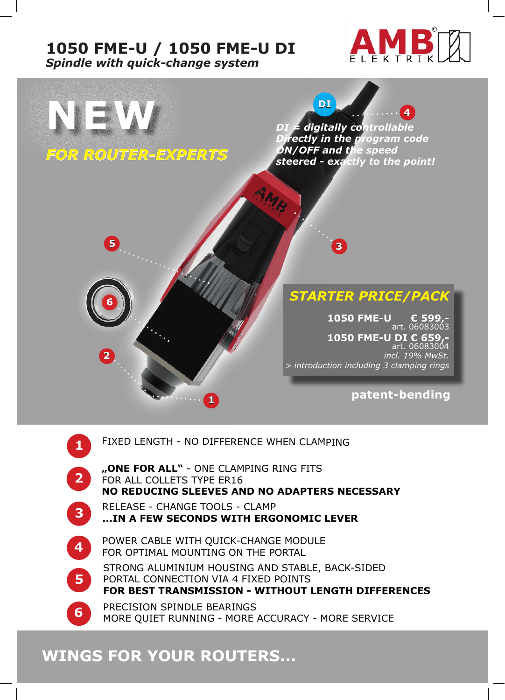### **1050 FME-U / 1050 FME-U DI** *Spindle with quick-change system*





RELEASE - CHANGE TOOLS - CLAMP **...IN A FEW SECONDS WITH ERGONOMIC LEVER**

- POWER CABLE WITH QUICK-CHANGE MODULE FOR OPTIMAL MOUNTING ON THE PORTAL
- STRONG ALUMINIUM HOUSING AND STABLE, BACK-SIDED PORTAL CONNECTION VIA 4 FIXED POINTS **FOR BEST TRANSMISSION - WITHOUT LENGTH DIFFERENCES**

**6** PRECISION SPINDLE BEARINGS<br>MORE QUIET RUNNING - MORE ACCURACY - MORE SERVICE

# **WINGS FOR YOUR ROUTERS...**

**4**

**5**

**3**